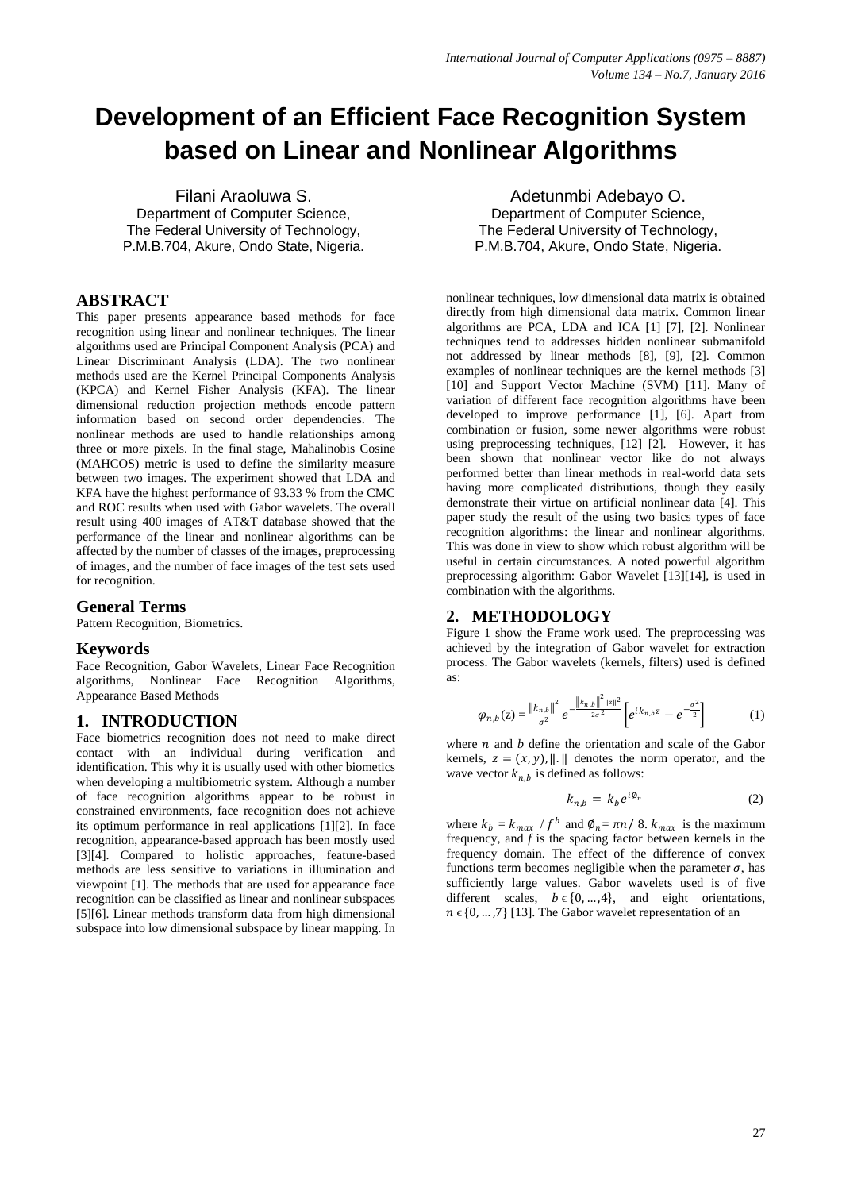# **Development of an Efficient Face Recognition System based on Linear and Nonlinear Algorithms**

Filani Araoluwa S. Department of Computer Science, The Federal University of Technology, P.M.B.704, Akure, Ondo State, Nigeria.

# **ABSTRACT**

This paper presents appearance based methods for face recognition using linear and nonlinear techniques. The linear algorithms used are Principal Component Analysis (PCA) and Linear Discriminant Analysis (LDA). The two nonlinear methods used are the Kernel Principal Components Analysis (KPCA) and Kernel Fisher Analysis (KFA). The linear dimensional reduction projection methods encode pattern information based on second order dependencies. The nonlinear methods are used to handle relationships among three or more pixels. In the final stage, Mahalinobis Cosine (MAHCOS) metric is used to define the similarity measure between two images. The experiment showed that LDA and KFA have the highest performance of 93.33 % from the CMC and ROC results when used with Gabor wavelets. The overall result using 400 images of AT&T database showed that the performance of the linear and nonlinear algorithms can be affected by the number of classes of the images, preprocessing of images, and the number of face images of the test sets used for recognition.

# **General Terms**

Pattern Recognition, Biometrics.

## **Keywords**

Face Recognition, Gabor Wavelets, Linear Face Recognition algorithms, Nonlinear Face Recognition Algorithms, Appearance Based Methods

# **1. INTRODUCTION**

Face biometrics recognition does not need to make direct contact with an individual during verification and identification. This why it is usually used with other biometics when developing a multibiometric system. Although a number of face recognition algorithms appear to be robust in constrained environments, face recognition does not achieve its optimum performance in real applications [1][2]. In face recognition, appearance-based approach has been mostly used [3][4]. Compared to holistic approaches, feature-based methods are less sensitive to variations in illumination and viewpoint [1]. The methods that are used for appearance face recognition can be classified as linear and nonlinear subspaces [5][6]. Linear methods transform data from high dimensional subspace into low dimensional subspace by linear mapping. In

Adetunmbi Adebayo O. Department of Computer Science, The Federal University of Technology, P.M.B.704, Akure, Ondo State, Nigeria.

nonlinear techniques, low dimensional data matrix is obtained directly from high dimensional data matrix. Common linear algorithms are PCA, LDA and ICA [1] [7], [2]. Nonlinear techniques tend to addresses hidden nonlinear submanifold not addressed by linear methods [8], [9], [2]. Common examples of nonlinear techniques are the kernel methods [3] [10] and Support Vector Machine (SVM) [11]. Many of variation of different face recognition algorithms have been developed to improve performance [1], [6]. Apart from combination or fusion, some newer algorithms were robust using preprocessing techniques, [12] [2]. However, it has been shown that nonlinear vector like do not always performed better than linear methods in real-world data sets having more complicated distributions, though they easily demonstrate their virtue on artificial nonlinear data [4]. This paper study the result of the using two basics types of face recognition algorithms: the linear and nonlinear algorithms. This was done in view to show which robust algorithm will be useful in certain circumstances. A noted powerful algorithm preprocessing algorithm: Gabor Wavelet [13][14], is used in combination with the algorithms.

# **2. METHODOLOGY**

Figure 1 show the Frame work used. The preprocessing was achieved by the integration of Gabor wavelet for extraction process. The Gabor wavelets (kernels, filters) used is defined as:

$$
\varphi_{n,b}(z) = \frac{\|k_{n,b}\|^2}{\sigma^2} e^{-\frac{\|k_{n,b}\|^2 \|z\|^2}{2\sigma^2}} \left[ e^{ik_{n,b}z} - e^{-\frac{\sigma^2}{2}} \right]
$$
 (1)

where  $n$  and  $b$  define the orientation and scale of the Gabor kernels,  $z = (x, y)$ , ||. || denotes the norm operator, and the wave vector  $k_{n,b}$  is defined as follows:

$$
k_{n,b} = k_b e^{i\phi_n} \tag{2}
$$

where  $k_b = k_{max} / f^b$  and  $\phi_n = \pi n / 8$ .  $k_{max}$  is the maximum frequency, and *f* is the spacing factor between kernels in the frequency domain. The effect of the difference of convex functions term becomes negligible when the parameter  $\sigma$ , has sufficiently large values. Gabor wavelets used is of five different scales,  $b \in \{0, ..., 4\}$ , and eight orientations,  $n \in \{0, ..., 7\}$  [13]. The Gabor wavelet representation of an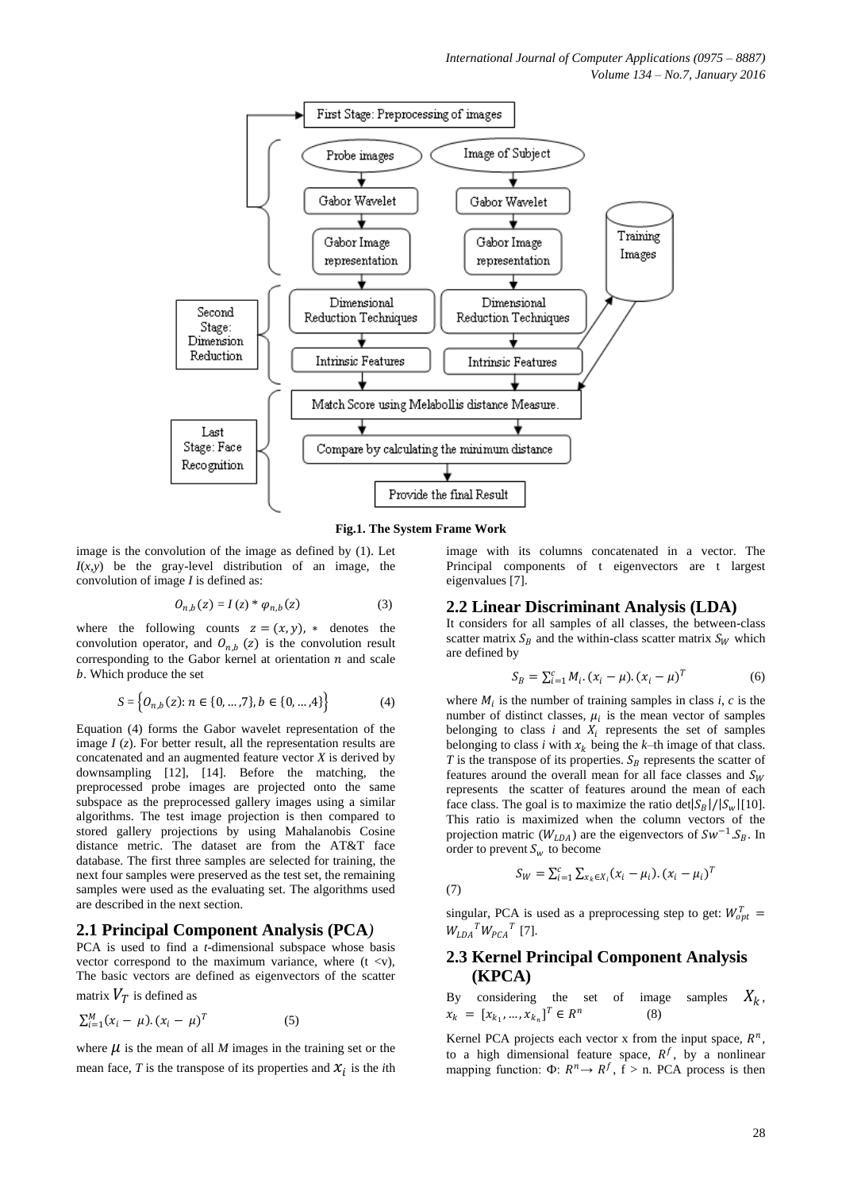

**Fig.1. The System Frame Work**

(7)

image is the convolution of the image as defined by (1). Let *I*(*x,y*) be the gray-level distribution of an image, the convolution of image *I* is defined as:

$$
O_{n,b}(z) = I(z) * \varphi_{n,b}(z) \tag{3}
$$

where the following counts  $z = (x, y)$ ,  $*$  denotes the convolution operator, and  $O_{n,b}$  (z) is the convolution result corresponding to the Gabor kernel at orientation  $n$  and scale . Which produce the set

$$
S = \left\{ O_{n,b}(z) : n \in \{0, ..., 7\}, b \in \{0, ..., 4\} \right\}
$$
 (4)

Equation (4) forms the Gabor wavelet representation of the image *I* (*z*). For better result, all the representation results are concatenated and an augmented feature vector *X* is derived by downsampling [12], [14]. Before the matching, the preprocessed probe images are projected onto the same subspace as the preprocessed gallery images using a similar algorithms. The test image projection is then compared to stored gallery projections by using Mahalanobis Cosine distance metric. The dataset are from the AT&T face database. The first three samples are selected for training, the next four samples were preserved as the test set, the remaining samples were used as the evaluating set. The algorithms used are described in the next section.

# **2.1 Principal Component Analysis (PCA***)*

PCA is used to find a *t*-dimensional subspace whose basis vector correspond to the maximum variance, where  $(t \le v)$ , The basic vectors are defined as eigenvectors of the scatter matrix  $V_T$  is defined as

$$
\sum_{i=1}^{M} (x_i - \mu) . (x_i - \mu)^T
$$
 (5)

where  $\mu$  is the mean of all *M* images in the training set or the mean face,  $T$  is the transpose of its properties and  $\mathcal{X}_i$  is the *i*th image with its columns concatenated in a vector. The Principal components of t eigenvectors are t largest eigenvalues [7].

## **2.2 Linear Discriminant Analysis (LDA)**

It considers for all samples of all classes, the between-class scatter matrix  $S_R$  and the within-class scatter matrix  $S_W$  which are defined by

$$
S_B = \sum_{i=1}^{c} M_i (x_i - \mu) (x_i - \mu)^T
$$
 (6)

where  $M_i$  is the number of training samples in class  $i$ ,  $c$  is the number of distinct classes,  $\mu_i$  is the mean vector of samples belonging to class  $i$  and  $X_i$  represents the set of samples belonging to class *i* with  $x_k$  being the *k*–th image of that class. *T* is the transpose of its properties.  $S_B$  represents the scatter of features around the overall mean for all face classes and  $S_W$ represents the scatter of features around the mean of each face class. The goal is to maximize the ratio  $\frac{\det|S_B|}{|S_w|}$  [10]. This ratio is maximized when the column vectors of the projection matric  $(W_{LDA})$  are the eigenvectors of  $Sw^{-1}.S_B$ . In order to prevent  $S_w$  to become

(7) 
$$
S_W = \sum_{i=1}^{c} \sum_{x_k \in X_i} (x_i - \mu_i) . (x_i - \mu_i)^T
$$

singular, PCA is used as a preprocessing step to get:  $W_{opt}^T =$  $W_{LDA}^T W_{PCA}^T$  [7].

# **2.3 Kernel Principal Component Analysis (KPCA)**

By considering the set of image samples  $X_k$ ,  $x_k = [x_{k_1}, ..., x_{k_n}]^T \in R^n$ (8)

Kernel PCA projects each vector x from the input space,  $R^n$ , to a high dimensional feature space,  $R^f$ , by a nonlinear mapping function:  $\Phi: R^n \to R^f$ ,  $f > n$ . PCA process is then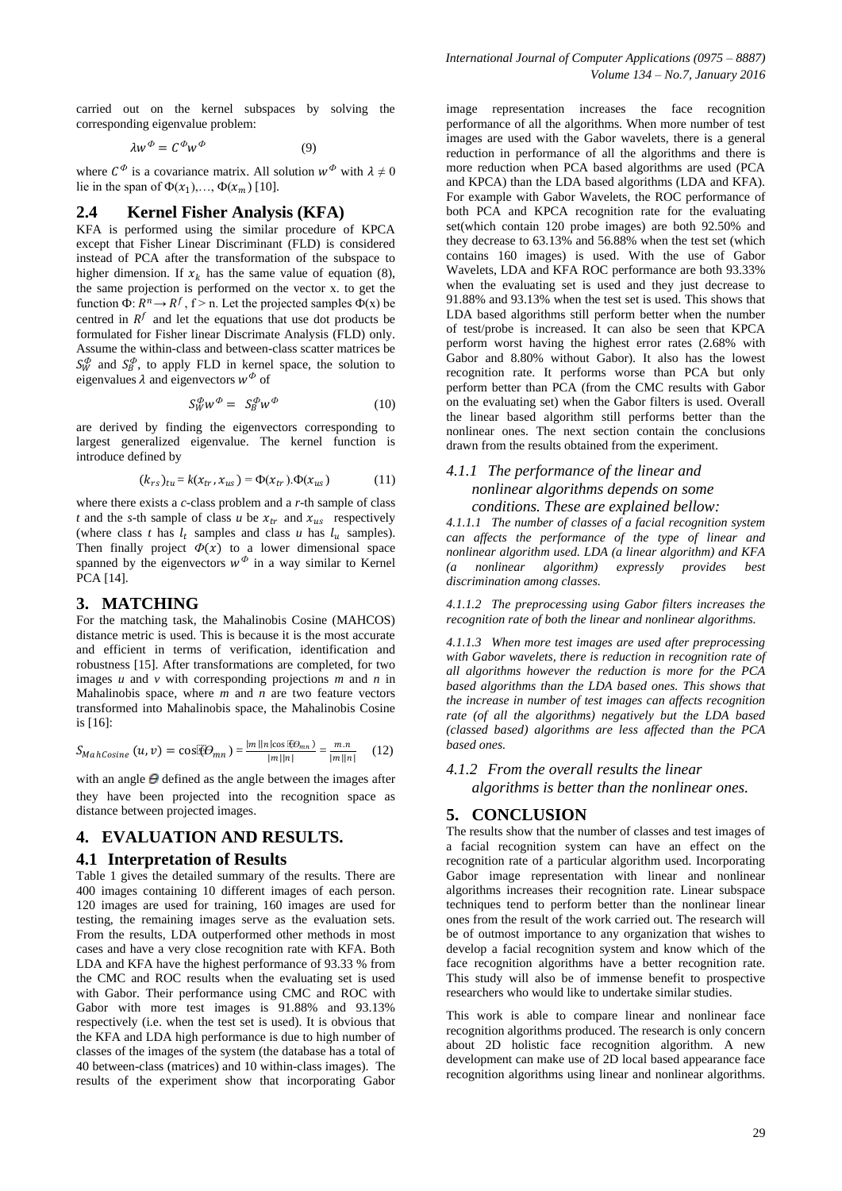carried out on the kernel subspaces by solving the corresponding eigenvalue problem:

$$
\lambda w^{\phi} = C^{\phi} w^{\phi} \tag{9}
$$

where  $C^{\Phi}$  is a covariance matrix. All solution  $w^{\Phi}$  with  $\lambda \neq 0$ lie in the span of  $\Phi(x_1),...,\Phi(x_m)$  [10].

#### **2.4 Kernel Fisher Analysis (KFA)**

KFA is performed using the similar procedure of KPCA except that Fisher Linear Discriminant (FLD) is considered instead of PCA after the transformation of the subspace to higher dimension. If  $x_k$  has the same value of equation (8), the same projection is performed on the vector x. to get the function  $\Phi: R^n \to R^f$ ,  $f > n$ . Let the projected samples  $\Phi(x)$  be centred in  $R^f$  and let the equations that use dot products be formulated for Fisher linear Discrimate Analysis (FLD) only. Assume the within-class and between-class scatter matrices be  $S_W^{\phi}$  and  $S_B^{\phi}$ , to apply FLD in kernel space, the solution to eigenvalues  $\lambda$  and eigenvectors  $w^{\phi}$  of

$$
S_W^{\phi} w^{\phi} = S_B^{\phi} w^{\phi} \tag{10}
$$

are derived by finding the eigenvectors corresponding to largest generalized eigenvalue. The kernel function is introduce defined by

$$
(k_{rs})_{tu} = k(x_{tr}, x_{us}) = \Phi(x_{tr}).\Phi(x_{us})
$$
 (11)

where there exists a *c*-class problem and a *r*-th sample of class *t* and the *s*-th sample of class *u* be  $x_{tr}$  and  $x_{us}$  respectively (where class *t* has  $l_t$  samples and class *u* has  $l_u$  samples). Then finally project  $\Phi(x)$  to a lower dimensional space spanned by the eigenvectors  $w^{\phi}$  in a way similar to Kernel PCA [14].

#### **3. MATCHING**

For the matching task, the Mahalinobis Cosine (MAHCOS) distance metric is used. This is because it is the most accurate and efficient in terms of verification, identification and robustness [15]. After transformations are completed, for two images *u* and *v* with corresponding projections *m* and *n* in Mahalinobis space, where *m* and *n* are two feature vectors transformed into Mahalinobis space, the Mahalinobis Cosine is [16]:

$$
S_{MahCosine}(u,v) = \cos(\Theta_{mn}) = \frac{|m||n|\cos(\Theta_{mn})}{|m||n|} = \frac{m.n}{|m||n|}
$$
 (12)

with an angle  $\Theta$  defined as the angle between the images after they have been projected into the recognition space as distance between projected images.

## **4. EVALUATION AND RESULTS.**

#### **4.1 Interpretation of Results**

Table 1 gives the detailed summary of the results. There are 400 images containing 10 different images of each person. 120 images are used for training, 160 images are used for testing, the remaining images serve as the evaluation sets. From the results, LDA outperformed other methods in most cases and have a very close recognition rate with KFA. Both LDA and KFA have the highest performance of 93.33 % from the CMC and ROC results when the evaluating set is used with Gabor. Their performance using CMC and ROC with Gabor with more test images is 91.88% and 93.13% respectively (i.e. when the test set is used). It is obvious that the KFA and LDA high performance is due to high number of classes of the images of the system (the database has a total of 40 between-class (matrices) and 10 within-class images). The results of the experiment show that incorporating Gabor

image representation increases the face recognition performance of all the algorithms. When more number of test images are used with the Gabor wavelets, there is a general reduction in performance of all the algorithms and there is more reduction when PCA based algorithms are used (PCA and KPCA) than the LDA based algorithms (LDA and KFA). For example with Gabor Wavelets, the ROC performance of both PCA and KPCA recognition rate for the evaluating set(which contain 120 probe images) are both 92.50% and they decrease to 63.13% and 56.88% when the test set (which contains 160 images) is used. With the use of Gabor Wavelets, LDA and KFA ROC performance are both 93.33% when the evaluating set is used and they just decrease to 91.88% and 93.13% when the test set is used. This shows that LDA based algorithms still perform better when the number of test/probe is increased. It can also be seen that KPCA perform worst having the highest error rates (2.68% with Gabor and 8.80% without Gabor). It also has the lowest recognition rate. It performs worse than PCA but only perform better than PCA (from the CMC results with Gabor on the evaluating set) when the Gabor filters is used. Overall the linear based algorithm still performs better than the nonlinear ones. The next section contain the conclusions drawn from the results obtained from the experiment.

# *4.1.1 The performance of the linear and nonlinear algorithms depends on some conditions. These are explained bellow:*

*4.1.1.1 The number of classes of a facial recognition system can affects the performance of the type of linear and nonlinear algorithm used. LDA (a linear algorithm) and KFA (a nonlinear algorithm) expressly provides best discrimination among classes.* 

*4.1.1.2 The preprocessing using Gabor filters increases the recognition rate of both the linear and nonlinear algorithms.* 

*4.1.1.3 When more test images are used after preprocessing with Gabor wavelets, there is reduction in recognition rate of all algorithms however the reduction is more for the PCA based algorithms than the LDA based ones. This shows that the increase in number of test images can affects recognition rate (of all the algorithms) negatively but the LDA based (classed based) algorithms are less affected than the PCA based ones.*

## *4.1.2 From the overall results the linear algorithms is better than the nonlinear ones.*

## **5. CONCLUSION**

The results show that the number of classes and test images of a facial recognition system can have an effect on the recognition rate of a particular algorithm used. Incorporating Gabor image representation with linear and nonlinear algorithms increases their recognition rate. Linear subspace techniques tend to perform better than the nonlinear linear ones from the result of the work carried out. The research will be of outmost importance to any organization that wishes to develop a facial recognition system and know which of the face recognition algorithms have a better recognition rate. This study will also be of immense benefit to prospective researchers who would like to undertake similar studies.

This work is able to compare linear and nonlinear face recognition algorithms produced. The research is only concern about 2D holistic face recognition algorithm. A new development can make use of 2D local based appearance face recognition algorithms using linear and nonlinear algorithms.